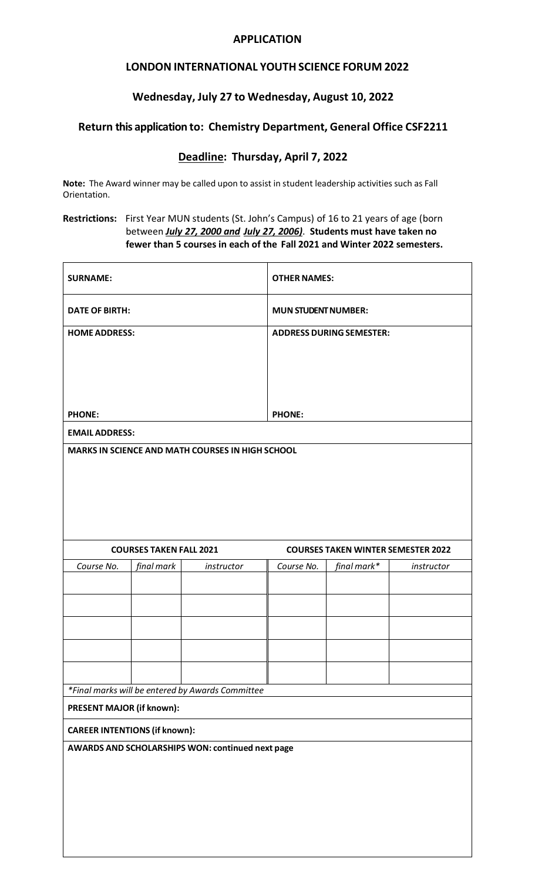#### **APPLICATION**

# **LONDON INTERNATIONAL YOUTHSCIENCE FORUM 2022**

### **Wednesday, July 27 to Wednesday, August 10, 2022**

### **Return this application to: Chemistry Department, General Office CSF2211**

## **Deadline: Thursday, April 7, 2022**

**Note:** The Award winner may be called upon to assist in student leadership activities such as Fall Orientation.

**Restrictions:** First Year MUN students (St. John's Campus) of 16 to 21 years of age (born between *July 27, 2000 and July 27, 2006)*. **Students must have taken no fewer than 5 courses in each of the Fall 2021 and Winter 2022 semesters.**

| <b>SURNAME:</b>                      |            |                                                  | <b>OTHER NAMES:</b>                       |             |            |  |
|--------------------------------------|------------|--------------------------------------------------|-------------------------------------------|-------------|------------|--|
| <b>DATE OF BIRTH:</b>                |            |                                                  | <b>MUN STUDENT NUMBER:</b>                |             |            |  |
| <b>HOME ADDRESS:</b>                 |            |                                                  | <b>ADDRESS DURING SEMESTER:</b>           |             |            |  |
|                                      |            |                                                  |                                           |             |            |  |
|                                      |            |                                                  |                                           |             |            |  |
|                                      |            |                                                  |                                           |             |            |  |
|                                      |            |                                                  |                                           |             |            |  |
| <b>PHONE:</b>                        |            |                                                  | <b>PHONE:</b>                             |             |            |  |
| <b>EMAIL ADDRESS:</b>                |            |                                                  |                                           |             |            |  |
|                                      |            | MARKS IN SCIENCE AND MATH COURSES IN HIGH SCHOOL |                                           |             |            |  |
|                                      |            |                                                  |                                           |             |            |  |
|                                      |            |                                                  |                                           |             |            |  |
|                                      |            |                                                  |                                           |             |            |  |
|                                      |            |                                                  |                                           |             |            |  |
|                                      |            |                                                  |                                           |             |            |  |
| <b>COURSES TAKEN FALL 2021</b>       |            |                                                  | <b>COURSES TAKEN WINTER SEMESTER 2022</b> |             |            |  |
|                                      | final mark | instructor                                       | Course No.                                | final mark* |            |  |
| Course No.                           |            |                                                  |                                           |             | instructor |  |
|                                      |            |                                                  |                                           |             |            |  |
|                                      |            |                                                  |                                           |             |            |  |
|                                      |            |                                                  |                                           |             |            |  |
|                                      |            |                                                  |                                           |             |            |  |
|                                      |            |                                                  |                                           |             |            |  |
|                                      |            |                                                  |                                           |             |            |  |
|                                      |            |                                                  |                                           |             |            |  |
| PRESENT MAJOR (if known):            |            | *Final marks will be entered by Awards Committee |                                           |             |            |  |
| <b>CAREER INTENTIONS (if known):</b> |            |                                                  |                                           |             |            |  |
|                                      |            | AWARDS AND SCHOLARSHIPS WON: continued next page |                                           |             |            |  |
|                                      |            |                                                  |                                           |             |            |  |
|                                      |            |                                                  |                                           |             |            |  |
|                                      |            |                                                  |                                           |             |            |  |
|                                      |            |                                                  |                                           |             |            |  |
|                                      |            |                                                  |                                           |             |            |  |